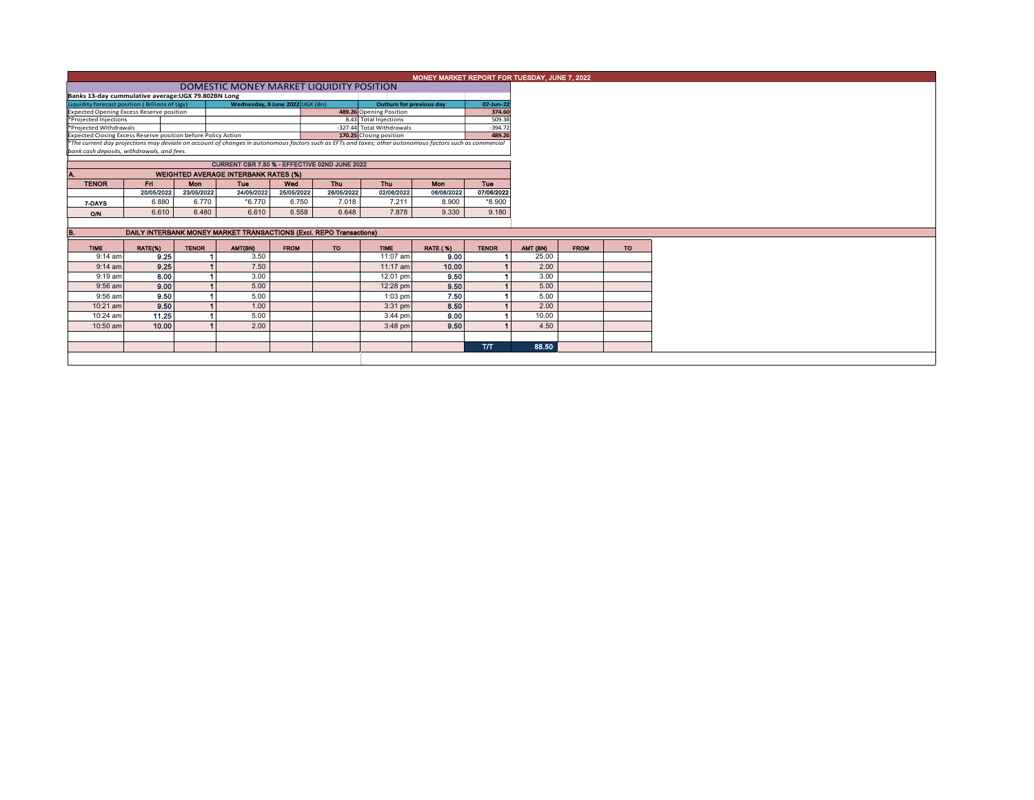|                                            |                                                                                                          |                                                                                                                                         |                                                                                                                                                                                            |                                                                   |                                                                            |                                                                                                                                                                                                                                                                                                                                                                            | 07-Jun-22                                                                                                       |                                                                                                                                                                                                                             |                                               |                                                              |
|--------------------------------------------|----------------------------------------------------------------------------------------------------------|-----------------------------------------------------------------------------------------------------------------------------------------|--------------------------------------------------------------------------------------------------------------------------------------------------------------------------------------------|-------------------------------------------------------------------|----------------------------------------------------------------------------|----------------------------------------------------------------------------------------------------------------------------------------------------------------------------------------------------------------------------------------------------------------------------------------------------------------------------------------------------------------------------|-----------------------------------------------------------------------------------------------------------------|-----------------------------------------------------------------------------------------------------------------------------------------------------------------------------------------------------------------------------|-----------------------------------------------|--------------------------------------------------------------|
|                                            |                                                                                                          |                                                                                                                                         |                                                                                                                                                                                            |                                                                   |                                                                            |                                                                                                                                                                                                                                                                                                                                                                            |                                                                                                                 |                                                                                                                                                                                                                             |                                               |                                                              |
|                                            |                                                                                                          |                                                                                                                                         |                                                                                                                                                                                            |                                                                   |                                                                            |                                                                                                                                                                                                                                                                                                                                                                            |                                                                                                                 |                                                                                                                                                                                                                             |                                               |                                                              |
|                                            |                                                                                                          |                                                                                                                                         |                                                                                                                                                                                            |                                                                   |                                                                            |                                                                                                                                                                                                                                                                                                                                                                            |                                                                                                                 |                                                                                                                                                                                                                             |                                               |                                                              |
|                                            |                                                                                                          |                                                                                                                                         |                                                                                                                                                                                            |                                                                   |                                                                            |                                                                                                                                                                                                                                                                                                                                                                            |                                                                                                                 |                                                                                                                                                                                                                             |                                               |                                                              |
| bank cash deposits, withdrawals, and fees. |                                                                                                          |                                                                                                                                         |                                                                                                                                                                                            |                                                                   |                                                                            |                                                                                                                                                                                                                                                                                                                                                                            |                                                                                                                 |                                                                                                                                                                                                                             |                                               |                                                              |
|                                            |                                                                                                          |                                                                                                                                         |                                                                                                                                                                                            |                                                                   |                                                                            |                                                                                                                                                                                                                                                                                                                                                                            |                                                                                                                 |                                                                                                                                                                                                                             |                                               |                                                              |
|                                            |                                                                                                          |                                                                                                                                         |                                                                                                                                                                                            |                                                                   |                                                                            |                                                                                                                                                                                                                                                                                                                                                                            |                                                                                                                 |                                                                                                                                                                                                                             |                                               |                                                              |
|                                            |                                                                                                          |                                                                                                                                         |                                                                                                                                                                                            |                                                                   |                                                                            |                                                                                                                                                                                                                                                                                                                                                                            |                                                                                                                 |                                                                                                                                                                                                                             |                                               |                                                              |
|                                            |                                                                                                          |                                                                                                                                         |                                                                                                                                                                                            |                                                                   |                                                                            |                                                                                                                                                                                                                                                                                                                                                                            |                                                                                                                 |                                                                                                                                                                                                                             |                                               |                                                              |
|                                            |                                                                                                          |                                                                                                                                         |                                                                                                                                                                                            |                                                                   |                                                                            |                                                                                                                                                                                                                                                                                                                                                                            |                                                                                                                 |                                                                                                                                                                                                                             |                                               |                                                              |
| 6.880                                      | 6.770                                                                                                    | $*6.770$                                                                                                                                | 6.750                                                                                                                                                                                      | 7.018                                                             | 7.211                                                                      | 8.900                                                                                                                                                                                                                                                                                                                                                                      | *8.900                                                                                                          |                                                                                                                                                                                                                             |                                               |                                                              |
| 6.610                                      |                                                                                                          | 6.610                                                                                                                                   |                                                                                                                                                                                            | 6.648                                                             | 7,878                                                                      | 9.330                                                                                                                                                                                                                                                                                                                                                                      | 9.180                                                                                                           |                                                                                                                                                                                                                             |                                               |                                                              |
|                                            |                                                                                                          |                                                                                                                                         |                                                                                                                                                                                            |                                                                   |                                                                            |                                                                                                                                                                                                                                                                                                                                                                            |                                                                                                                 |                                                                                                                                                                                                                             |                                               |                                                              |
|                                            |                                                                                                          |                                                                                                                                         |                                                                                                                                                                                            |                                                                   |                                                                            |                                                                                                                                                                                                                                                                                                                                                                            |                                                                                                                 |                                                                                                                                                                                                                             |                                               |                                                              |
|                                            |                                                                                                          |                                                                                                                                         |                                                                                                                                                                                            |                                                                   |                                                                            |                                                                                                                                                                                                                                                                                                                                                                            |                                                                                                                 |                                                                                                                                                                                                                             |                                               |                                                              |
|                                            |                                                                                                          |                                                                                                                                         |                                                                                                                                                                                            |                                                                   |                                                                            |                                                                                                                                                                                                                                                                                                                                                                            |                                                                                                                 |                                                                                                                                                                                                                             |                                               |                                                              |
|                                            |                                                                                                          |                                                                                                                                         |                                                                                                                                                                                            |                                                                   |                                                                            |                                                                                                                                                                                                                                                                                                                                                                            |                                                                                                                 |                                                                                                                                                                                                                             |                                               |                                                              |
|                                            |                                                                                                          |                                                                                                                                         |                                                                                                                                                                                            |                                                                   |                                                                            |                                                                                                                                                                                                                                                                                                                                                                            |                                                                                                                 |                                                                                                                                                                                                                             |                                               |                                                              |
| 8.00<br>$9:19$ am                          |                                                                                                          | 3.00                                                                                                                                    |                                                                                                                                                                                            |                                                                   | 12:01 pm                                                                   |                                                                                                                                                                                                                                                                                                                                                                            |                                                                                                                 |                                                                                                                                                                                                                             | 3.00                                          |                                                              |
| 9.00<br>9:56 am                            |                                                                                                          | 5.00                                                                                                                                    |                                                                                                                                                                                            |                                                                   | 12:28 pm                                                                   | 9.50                                                                                                                                                                                                                                                                                                                                                                       |                                                                                                                 |                                                                                                                                                                                                                             | 5.00                                          |                                                              |
| 9:56 am                                    |                                                                                                          |                                                                                                                                         |                                                                                                                                                                                            |                                                                   |                                                                            |                                                                                                                                                                                                                                                                                                                                                                            |                                                                                                                 |                                                                                                                                                                                                                             | 5.00                                          |                                                              |
|                                            |                                                                                                          | 1.00                                                                                                                                    |                                                                                                                                                                                            |                                                                   | $3:31$ pm                                                                  | 8.50                                                                                                                                                                                                                                                                                                                                                                       |                                                                                                                 |                                                                                                                                                                                                                             | 2.00                                          |                                                              |
|                                            |                                                                                                          |                                                                                                                                         |                                                                                                                                                                                            |                                                                   |                                                                            |                                                                                                                                                                                                                                                                                                                                                                            |                                                                                                                 |                                                                                                                                                                                                                             |                                               |                                                              |
| 9.50<br>10:21 am                           |                                                                                                          |                                                                                                                                         |                                                                                                                                                                                            |                                                                   |                                                                            |                                                                                                                                                                                                                                                                                                                                                                            |                                                                                                                 |                                                                                                                                                                                                                             |                                               |                                                              |
| 11.25<br>10:24 am                          |                                                                                                          | 5.00                                                                                                                                    |                                                                                                                                                                                            |                                                                   | 3:44 pm                                                                    | 9.00                                                                                                                                                                                                                                                                                                                                                                       |                                                                                                                 |                                                                                                                                                                                                                             |                                               | 10.00                                                        |
| 10.00<br>10:50 am                          |                                                                                                          | 2.00                                                                                                                                    |                                                                                                                                                                                            |                                                                   | 3:48 pm                                                                    | 9.50                                                                                                                                                                                                                                                                                                                                                                       |                                                                                                                 |                                                                                                                                                                                                                             | 4.50                                          |                                                              |
|                                            |                                                                                                          |                                                                                                                                         |                                                                                                                                                                                            |                                                                   |                                                                            |                                                                                                                                                                                                                                                                                                                                                                            | <b>T/T</b>                                                                                                      |                                                                                                                                                                                                                             | 88.50                                         |                                                              |
| $9:14$ am<br>$9:14$ am                     | *Projected Injections<br>*Projected Withdrawals<br>Fri.<br>20/05/2022<br>RATE(%)<br>9.25<br>9.25<br>9.50 | Liquidity forecast position (Billions of Ugx)<br><b>Expected Opening Excess Reserve position</b><br><b>Mon</b><br>6.480<br><b>TENOR</b> | Banks 13-day cummulative average: UGX 79.802BN Long<br>Expected Closing Excess Reserve position before Policy Action<br>Tue<br>23/05/2022<br>24/05/2022<br>AMT(BN)<br>3.50<br>7.50<br>5.00 | <b>WEIGHTED AVERAGE INTERBANK RATES (%)</b><br>Wed<br><b>FROM</b> | Wednesday, 8 June 2022 UGX (Bn)<br>Thu<br>25/05/2022<br>6.558<br><b>TO</b> | DOMESTIC MONEY MARKET LIQUIDITY POSITION<br>489.26 Opening Position<br>8.43 Total Injections<br>-327.44 Total Withdrawals<br>170.25 Closing position<br>CURRENT CBR 7.50 % - EFFECTIVE 02ND JUNE 2022<br><b>Thu</b><br>26/05/2022<br>02/06/2022<br>DAILY INTERBANK MONEY MARKET TRANSACTIONS (Excl. REPO Transactions)<br><b>TIME</b><br>11:07 am<br>11:17 am<br>$1:03$ pm | <b>Outturn for previous day</b><br><b>Mon</b><br>06/06/2022<br><b>RATE (%)</b><br>9.00<br>10.00<br>9.50<br>7.50 | $-394.72$<br>489.26<br>*The current day projections may deviate on account of changes in autonomous factors such as EFTs and taxes; other autonomous factors such as commercial<br><b>Tue</b><br>07/06/2022<br><b>TENOR</b> | 374.60<br>509.38<br>AMT (BN)<br>25.00<br>2.00 | MONEY MARKET REPORT FOR TUESDAY, JUNE 7, 2022<br><b>FROM</b> |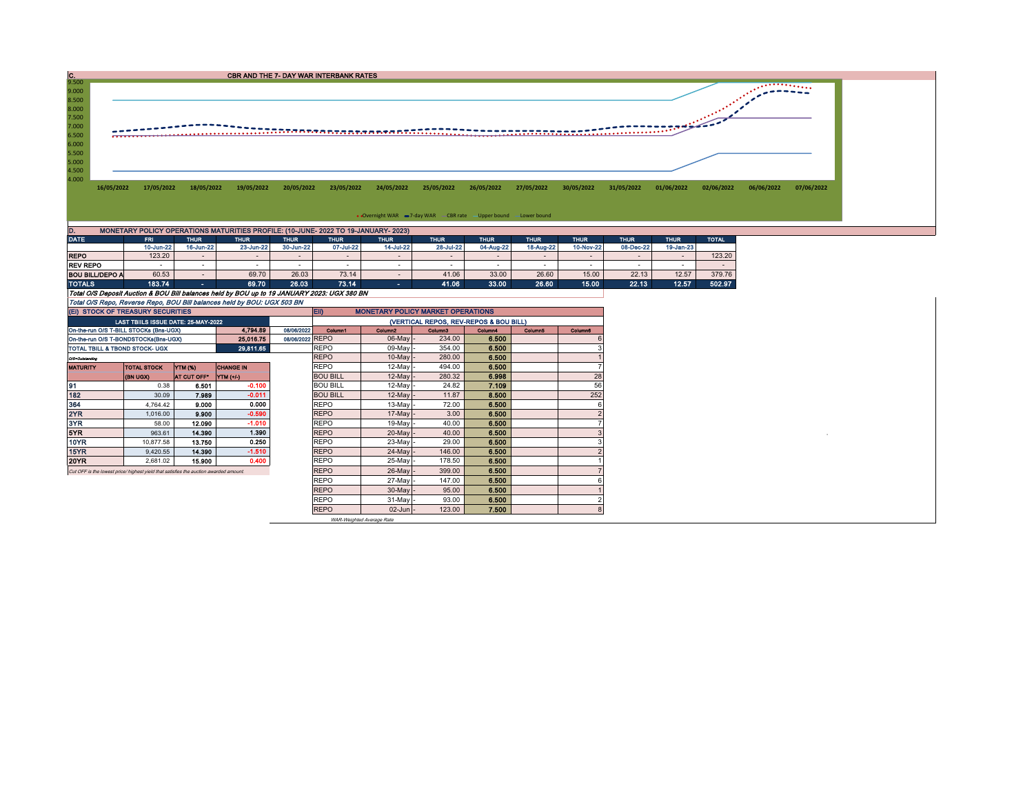| $\frac{C}{9.500}$ |            |            |             | CBR AND THE 7- DAY WAR INTERBANK RATES                                             |             |             |             |                                                                  |             |             |             |             |             |              |            |                          |
|-------------------|------------|------------|-------------|------------------------------------------------------------------------------------|-------------|-------------|-------------|------------------------------------------------------------------|-------------|-------------|-------------|-------------|-------------|--------------|------------|--------------------------|
| 9.000<br>8.500    |            |            |             |                                                                                    |             |             |             |                                                                  |             |             |             |             |             |              |            | $\overline{\phantom{a}}$ |
| 8.000<br>7.500    |            |            |             |                                                                                    |             |             |             |                                                                  |             |             |             |             |             |              |            |                          |
| 7.000<br>6.500    |            |            |             |                                                                                    |             |             |             |                                                                  |             |             |             |             |             |              |            |                          |
| 6.000<br>5.500    |            |            |             |                                                                                    |             |             |             |                                                                  |             |             |             |             |             |              |            |                          |
| 5.000<br>4.500    |            |            |             |                                                                                    |             |             |             |                                                                  |             |             |             |             |             |              |            |                          |
| 4.000             | 16/05/2022 | 17/05/2022 | 18/05/2022  | 19/05/2022                                                                         | 20/05/2022  | 23/05/2022  | 24/05/2022  | 25/05/2022                                                       | 26/05/2022  | 27/05/2022  | 30/05/2022  | 31/05/2022  | 01/06/2022  | 02/06/2022   | 06/06/2022 | 07/06/2022               |
|                   |            |            |             |                                                                                    |             |             |             |                                                                  |             |             |             |             |             |              |            |                          |
|                   |            |            |             |                                                                                    |             |             |             | • Overnight WAR = 7-day WAR CBR rate - Upper bound - Lower bound |             |             |             |             |             |              |            |                          |
| D.                |            |            |             | MONETARY POLICY OPERATIONS MATURITIES PROFILE: (10-JUNE- 2022 TO 19-JANUARY- 2023) |             |             |             |                                                                  |             |             |             |             |             |              |            |                          |
| <b>DATE</b>       |            | FRI.       | <b>THUR</b> | <b>THUR</b>                                                                        | <b>THUR</b> | <b>THUR</b> | <b>THUR</b> | <b>THUR</b>                                                      | <b>THUR</b> | <b>THUR</b> | <b>THUR</b> | <b>THUR</b> | <b>THUR</b> | <b>TOTAL</b> |            |                          |

|                                                                                             | 10-Jun-22 | 16-Jun-22 | 23-Jun-22 | 30-Jun-22 | 07-Jul-22                | 14-Jul-22    | 28-Jul-22 | 04-Aug-22 | 18-Aug-22 | 10-Nov-22                | 08-Dec-22 | 19-Jan-23 |        |
|---------------------------------------------------------------------------------------------|-----------|-----------|-----------|-----------|--------------------------|--------------|-----------|-----------|-----------|--------------------------|-----------|-----------|--------|
| <b>REPO</b>                                                                                 | 123.20    |           |           |           | $\overline{\phantom{a}}$ |              |           |           |           | $\overline{\phantom{0}}$ | . .       |           | 123.20 |
| <b>REV REPO</b>                                                                             |           |           |           |           | $\sim$                   |              |           |           |           |                          |           |           |        |
| <b>BOU BILL/DEPO A</b>                                                                      | 60.53     |           | 69.70     | 26.03     | 73.14                    |              | 41.06     | 33.00     | 26.60     | 15.00                    | 22.13     | 12.57     | 379.76 |
| <b>TOTALS</b>                                                                               | 183.74    | œ.        | 69.70     | 26.03     | 73.14                    | $\mathbf{r}$ | 41.06     | 33.00     | 26.60     | 15.00                    | 22.13     | 12.57     | 502.97 |
| Total O/S Deposit Auction & BOU Bill balances held by BOU up to 19 JANUARY 2023; UGX 380 BN |           |           |           |           |                          |              |           |           |           |                          |           |           |        |
| Total O/S Repo, Reverse Repo, BOU Bill balances held by BOU: UGX 503 BN                     |           |           |           |           |                          |              |           |           |           |                          |           |           |        |

| (EI) STOCK OF TREASURY SECURITIES                                                    |                                     |                    |                  |  |                                        | EII)<br><b>MONETARY POLICY MARKET OPERATIONS</b> |         |         |         |                |  |  |  |
|--------------------------------------------------------------------------------------|-------------------------------------|--------------------|------------------|--|----------------------------------------|--------------------------------------------------|---------|---------|---------|----------------|--|--|--|
|                                                                                      | LAST TBIILS ISSUE DATE: 25-MAY-2022 |                    |                  |  | (VERTICAL REPOS, REV-REPOS & BOU BILL) |                                                  |         |         |         |                |  |  |  |
| 4.794.89<br>08/06/2022<br>On-the-run O/S T-BILL STOCKs (Bns-UGX)                     |                                     |                    |                  |  |                                        | Column <sub>2</sub>                              | Column3 | Column4 | Column5 | <b>Column6</b> |  |  |  |
| 25,016.75<br>On-the-run O/S T-BONDSTOCKs(Bns-UGX)                                    |                                     |                    |                  |  | 08/06/2022 REPO                        | $06$ -May -                                      | 234.00  | 6.500   |         |                |  |  |  |
| 29,811.65<br>TOTAL TBILL & TBOND STOCK- UGX                                          |                                     |                    |                  |  | <b>REPO</b>                            | 09-May -                                         | 354.00  | 6.500   |         |                |  |  |  |
| O/S=Outstanding                                                                      |                                     |                    |                  |  | <b>REPO</b>                            | $10$ -May $-$                                    | 280.00  | 6.500   |         |                |  |  |  |
| <b>MATURITY</b>                                                                      | <b>TOTAL STOCK</b>                  | YTM (%)            | <b>CHANGE IN</b> |  | REPO                                   | $12$ -May -                                      | 494.00  | 6.500   |         |                |  |  |  |
|                                                                                      | <b>(BN UGX)</b>                     | <b>AT CUT OFF"</b> | $YTM$ $(+/-)$    |  | <b>BOU BILL</b>                        | $12$ -May $-$                                    | 280.32  | 6,998   |         | 28             |  |  |  |
| 91                                                                                   | 0.38                                | 6.501              | $-0.100$         |  | <b>BOU BILL</b>                        | $12$ -May -                                      | 24.82   | 7.109   |         | 56             |  |  |  |
| 182                                                                                  | 30.09                               | 7.989              | $-0.011$         |  | <b>BOU BILL</b>                        | $12$ -May -                                      | 11.87   | 8.500   |         | 252            |  |  |  |
| 364                                                                                  | 4.764.42                            | 9.000              | 0.000            |  | <b>REPO</b>                            | $13$ -Mavl-                                      | 72.00   | 6.500   |         |                |  |  |  |
| 2YR                                                                                  | 1,016.00                            | 9.900              | $-0.590$         |  | <b>REPO</b>                            | $17$ -May -                                      | 3.00    | 6.500   |         |                |  |  |  |
| 3YR                                                                                  | 58.00                               | 12.090             | $-1.010$         |  | <b>REPO</b>                            | $19$ -Mav $\sim$                                 | 40.00   | 6,500   |         |                |  |  |  |
| 5YR                                                                                  | 963.61                              | 14,390             | 1.390            |  | <b>REPO</b>                            | $20$ -May -                                      | 40.00   | 6.500   |         |                |  |  |  |
| 10YR                                                                                 | 10,877.58                           | 13.750             | 0.250            |  | <b>REPO</b>                            | $23$ -May                                        | 29.00   | 6.500   |         |                |  |  |  |
| 15YR                                                                                 | 9,420.55                            | 14.390             | $-1.510$         |  | <b>REPO</b>                            | $24$ -May $-$                                    | 146.00  | 6.500   |         |                |  |  |  |
| <b>20YR</b>                                                                          | 2,681.02                            | 15.900             | 0.400            |  | <b>REPO</b>                            | 25-May -                                         | 178.50  | 6.500   |         |                |  |  |  |
| Cut OFF is the lowest price/highest vield that satisfies the auction awarded amount. |                                     |                    |                  |  | <b>REPO</b>                            | 26-May -                                         | 399.00  | 6.500   |         |                |  |  |  |
|                                                                                      |                                     |                    |                  |  | <b>REPO</b>                            | 27-May -                                         | 147.00  | 6.500   |         |                |  |  |  |
|                                                                                      |                                     |                    |                  |  | <b>REPO</b>                            | $30$ -May -                                      | 95.00   | 6.500   |         |                |  |  |  |
|                                                                                      |                                     |                    |                  |  | <b>REPO</b>                            | $31$ -May -                                      | 93.00   | 6.500   |         |                |  |  |  |
|                                                                                      |                                     |                    |                  |  | <b>REPO</b>                            | $02$ -Jun $-$                                    | 123.00  | 7.500   |         |                |  |  |  |

WAR-Weighted Average Rate